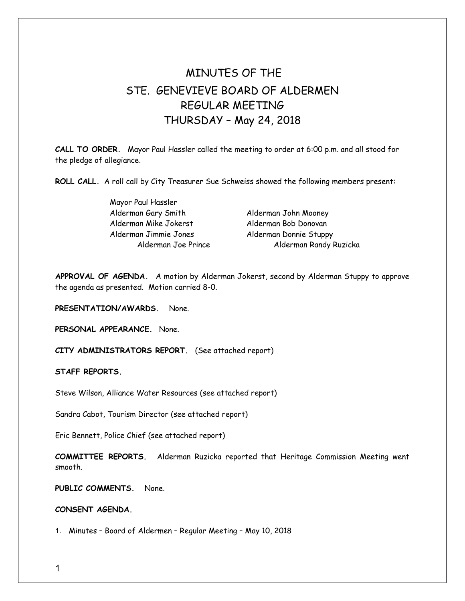## MINUTES OF THE STE. GENEVIEVE BOARD OF ALDERMEN REGULAR MEETING THURSDAY – May 24, 2018

**CALL TO ORDER.** Mayor Paul Hassler called the meeting to order at 6:00 p.m. and all stood for the pledge of allegiance.

**ROLL CALL.** A roll call by City Treasurer Sue Schweiss showed the following members present:

Mayor Paul Hassler Alderman Gary Smith Alderman John Mooney Alderman Mike Jokerst Alderman Bob Donovan Alderman Jimmie Jones Alderman Donnie Stuppy

Alderman Joe Prince Alderman Randy Ruzicka

**APPROVAL OF AGENDA.** A motion by Alderman Jokerst, second by Alderman Stuppy to approve the agenda as presented. Motion carried 8-0.

**PRESENTATION/AWARDS.** None.

**PERSONAL APPEARANCE.** None.

**CITY ADMINISTRATORS REPORT.** (See attached report)

**STAFF REPORTS.** 

Steve Wilson, Alliance Water Resources (see attached report)

Sandra Cabot, Tourism Director (see attached report)

Eric Bennett, Police Chief (see attached report)

**COMMITTEE REPORTS.** Alderman Ruzicka reported that Heritage Commission Meeting went smooth.

**PUBLIC COMMENTS.** None.

## **CONSENT AGENDA.**

1. Minutes – Board of Aldermen – Regular Meeting – May 10, 2018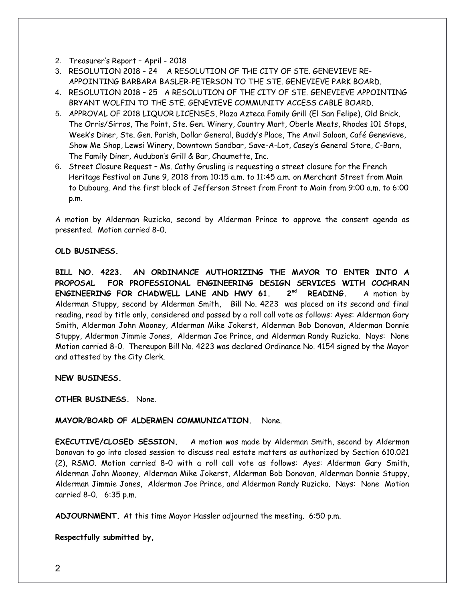- 2. Treasurer's Report April 2018
- 3. RESOLUTION 2018 24 A RESOLUTION OF THE CITY OF STE. GENEVIEVE RE-APPOINTING BARBARA BASLER-PETERSON TO THE STE. GENEVIEVE PARK BOARD.
- 4. RESOLUTION 2018 25 A RESOLUTION OF THE CITY OF STE. GENEVIEVE APPOINTING BRYANT WOLFIN TO THE STE. GENEVIEVE COMMUNITY ACCESS CABLE BOARD.
- 5. APPROVAL OF 2018 LIQUOR LICENSES, Plaza Azteca Family Grill (El San Felipe), Old Brick, The Orris/Sirros, The Point, Ste. Gen. Winery, Country Mart, Oberle Meats, Rhodes 101 Stops, Week's Diner, Ste. Gen. Parish, Dollar General, Buddy's Place, The Anvil Saloon, Café Genevieve, Show Me Shop, Lewsi Winery, Downtown Sandbar, Save-A-Lot, Casey's General Store, C-Barn, The Family Diner, Audubon's Grill & Bar, Chaumette, Inc.
- 6. Street Closure Request Ms. Cathy Grusling is requesting a street closure for the French Heritage Festival on June 9, 2018 from 10:15 a.m. to 11:45 a.m. on Merchant Street from Main to Dubourg. And the first block of Jefferson Street from Front to Main from 9:00 a.m. to 6:00 p.m.

A motion by Alderman Ruzicka, second by Alderman Prince to approve the consent agenda as presented. Motion carried 8-0.

## **OLD BUSINESS.**

**BILL NO. 4223. AN ORDINANCE AUTHORIZING THE MAYOR TO ENTER INTO A PROPOSAL FOR PROFESSIONAL ENGINEERING DESIGN SERVICES WITH COCHRAN ENGINEERING FOR CHADWELL LANE AND HWY 61. 2nd READING.** A motion by Alderman Stuppy, second by Alderman Smith, Bill No. 4223 was placed on its second and final reading, read by title only, considered and passed by a roll call vote as follows: Ayes: Alderman Gary Smith, Alderman John Mooney, Alderman Mike Jokerst, Alderman Bob Donovan, Alderman Donnie Stuppy, Alderman Jimmie Jones, Alderman Joe Prince, and Alderman Randy Ruzicka. Nays: None Motion carried 8-0. Thereupon Bill No. 4223 was declared Ordinance No. 4154 signed by the Mayor and attested by the City Clerk.

**NEW BUSINESS.** 

**OTHER BUSINESS.** None.

## **MAYOR/BOARD OF ALDERMEN COMMUNICATION.** None.

**EXECUTIVE/CLOSED SESSION.** A motion was made by Alderman Smith, second by Alderman Donovan to go into closed session to discuss real estate matters as authorized by Section 610.021 (2), RSMO. Motion carried 8-0 with a roll call vote as follows: Ayes: Alderman Gary Smith, Alderman John Mooney, Alderman Mike Jokerst, Alderman Bob Donovan, Alderman Donnie Stuppy, Alderman Jimmie Jones, Alderman Joe Prince, and Alderman Randy Ruzicka. Nays: None Motion carried 8-0. 6:35 p.m.

**ADJOURNMENT.** At this time Mayor Hassler adjourned the meeting. 6:50 p.m.

**Respectfully submitted by,**